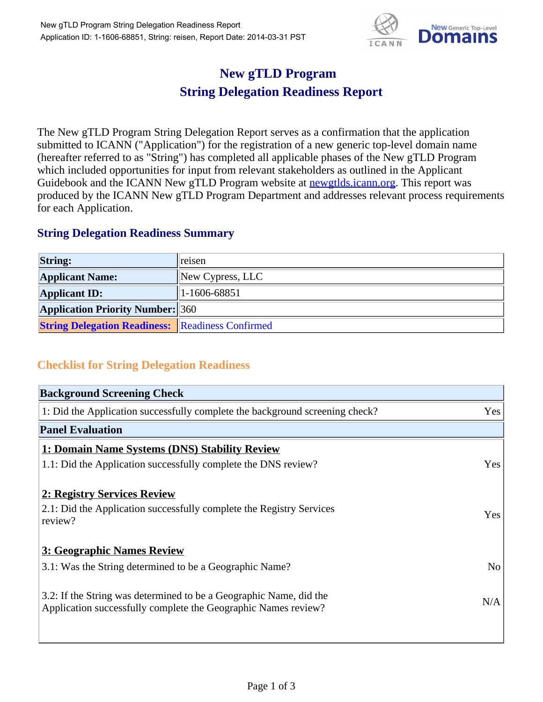

## **New gTLD Program String Delegation Readiness Report**

The New gTLD Program String Delegation Report serves as a confirmation that the application submitted to ICANN ("Application") for the registration of a new generic top-level domain name (hereafter referred to as "String") has completed all applicable phases of the New gTLD Program which included opportunities for input from relevant stakeholders as outlined in the Applicant Guidebook and the ICANN New gTLD Program website at newgtlds.icann.org. This report was produced by the ICANN New gTLD Program Department and addresses relevant process requirements for each Application.

## **String Delegation Readiness Summary**

| <b>String:</b>                                          | reisen                       |
|---------------------------------------------------------|------------------------------|
| <b>Applicant Name:</b>                                  | $\parallel$ New Cypress, LLC |
| <b>Applicant ID:</b>                                    | 1-1606-68851                 |
| <b>Application Priority Number: 360</b>                 |                              |
| <b>String Delegation Readiness: Readiness Confirmed</b> |                              |

## **Checklist for String Delegation Readiness**

| <b>Background Screening Check</b>                                                                                                    |                |
|--------------------------------------------------------------------------------------------------------------------------------------|----------------|
| 1: Did the Application successfully complete the background screening check?                                                         | Yes            |
| <b>Panel Evaluation</b>                                                                                                              |                |
| 1: Domain Name Systems (DNS) Stability Review                                                                                        |                |
| 1.1: Did the Application successfully complete the DNS review?                                                                       | Yes            |
| 2: Registry Services Review                                                                                                          |                |
| 2.1: Did the Application successfully complete the Registry Services<br>review?                                                      | Yes            |
| 3: Geographic Names Review                                                                                                           |                |
| 3.1: Was the String determined to be a Geographic Name?                                                                              | N <sub>o</sub> |
| 3.2: If the String was determined to be a Geographic Name, did the<br>Application successfully complete the Geographic Names review? | N/A            |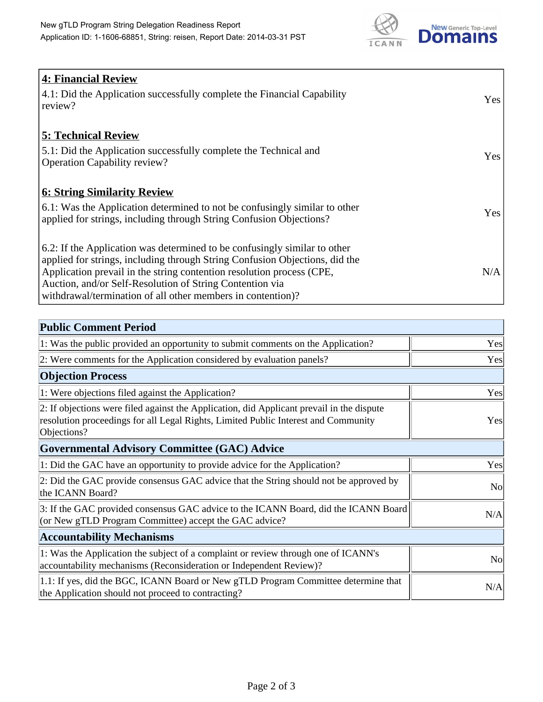

| <b>4: Financial Review</b>                                                                                                                               |            |
|----------------------------------------------------------------------------------------------------------------------------------------------------------|------------|
| 4.1: Did the Application successfully complete the Financial Capability<br>review?                                                                       | <b>Yes</b> |
| <b>5: Technical Review</b>                                                                                                                               |            |
| 5.1: Did the Application successfully complete the Technical and<br><b>Operation Capability review?</b>                                                  | Yes        |
| <b>6: String Similarity Review</b>                                                                                                                       |            |
| 6.1: Was the Application determined to not be confusingly similar to other<br>applied for strings, including through String Confusion Objections?        | Yes        |
| 6.2: If the Application was determined to be confusingly similar to other<br>applied for strings, including through String Confusion Objections, did the |            |
| Application prevail in the string contention resolution process (CPE,                                                                                    | N/A        |
| Auction, and/or Self-Resolution of String Contention via                                                                                                 |            |
| withdrawal/termination of all other members in contention)?                                                                                              |            |

| <b>Public Comment Period</b>                                                                                                                                                                   |                |
|------------------------------------------------------------------------------------------------------------------------------------------------------------------------------------------------|----------------|
| 1: Was the public provided an opportunity to submit comments on the Application?                                                                                                               | Yes            |
| 2: Were comments for the Application considered by evaluation panels?                                                                                                                          | Yes            |
| <b>Objection Process</b>                                                                                                                                                                       |                |
| 1: Were objections filed against the Application?                                                                                                                                              | Yes            |
| 2: If objections were filed against the Application, did Applicant prevail in the dispute<br>resolution proceedings for all Legal Rights, Limited Public Interest and Community<br>Objections? | Yes            |
| <b>Governmental Advisory Committee (GAC) Advice</b>                                                                                                                                            |                |
| 1: Did the GAC have an opportunity to provide advice for the Application?                                                                                                                      | Yes            |
| 2: Did the GAC provide consensus GAC advice that the String should not be approved by<br>the ICANN Board?                                                                                      | N <sub>o</sub> |
| 3: If the GAC provided consensus GAC advice to the ICANN Board, did the ICANN Board<br>(or New gTLD Program Committee) accept the GAC advice?                                                  | N/A            |
| <b>Accountability Mechanisms</b>                                                                                                                                                               |                |
| 1: Was the Application the subject of a complaint or review through one of ICANN's<br>accountability mechanisms (Reconsideration or Independent Review)?                                       | <b>No</b>      |
| 1.1: If yes, did the BGC, ICANN Board or New gTLD Program Committee determine that<br>the Application should not proceed to contracting?                                                       | N/A            |